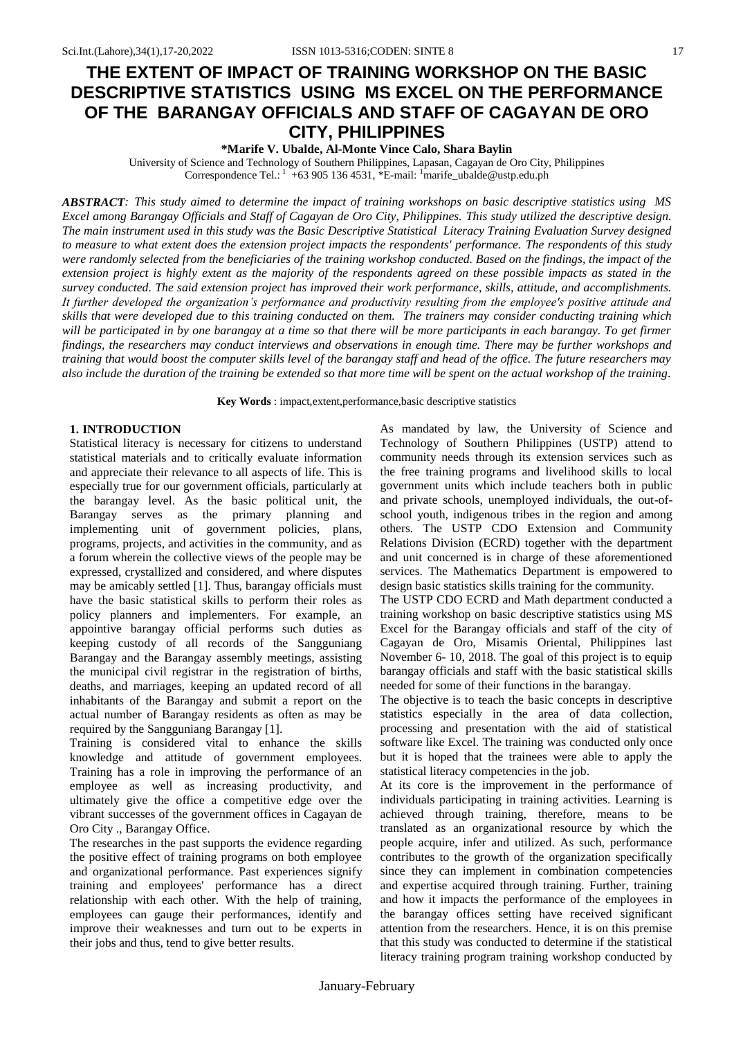# **THE EXTENT OF IMPACT OF TRAINING WORKSHOP ON THE BASIC DESCRIPTIVE STATISTICS USING MS EXCEL ON THE PERFORMANCE OF THE BARANGAY OFFICIALS AND STAFF OF CAGAYAN DE ORO CITY, PHILIPPINES**

**\*Marife V. Ubalde, Al-Monte Vince Calo, Shara Baylin**

University of Science and Technology of Southern Philippines, Lapasan, Cagayan de Oro City, Philippines Correspondence Tel.:  $1 + 639051364531$ ,  $E$ -mail:  $1 + 6290513645$ 

*ABSTRACT: This study aimed to determine the impact of training workshops on basic descriptive statistics using MS Excel among Barangay Officials and Staff of Cagayan de Oro City, Philippines. This study utilized the descriptive design. The main instrument used in this study was the Basic Descriptive Statistical Literacy Training Evaluation Survey designed to measure to what extent does the extension project impacts the respondents' performance. The respondents of this study were randomly selected from the beneficiaries of the training workshop conducted. Based on the findings, the impact of the extension project is highly extent as the majority of the respondents agreed on these possible impacts as stated in the survey conducted. The said extension project has improved their work performance, skills, attitude, and accomplishments. It further developed the organization's performance and productivity resulting from the employee's positive attitude and skills that were developed due to this training conducted on them. The trainers may consider conducting training which will be participated in by one barangay at a time so that there will be more participants in each barangay. To get firmer findings, the researchers may conduct interviews and observations in enough time. There may be further workshops and training that would boost the computer skills level of the barangay staff and head of the office. The future researchers may also include the duration of the training be extended so that more time will be spent on the actual workshop of the training*.

**Key Words** : impact,extent,performance,basic descriptive statistics

### **1. INTRODUCTION**

Statistical literacy is necessary for citizens to understand statistical materials and to critically evaluate information and appreciate their relevance to all aspects of life. This is especially true for our government officials, particularly at the barangay level. As the basic political unit, the Barangay serves as the primary planning and implementing unit of government policies, plans, programs, projects, and activities in the community, and as a forum wherein the collective views of the people may be expressed, crystallized and considered, and where disputes may be amicably settled [1]. Thus, barangay officials must have the basic statistical skills to perform their roles as policy planners and implementers. For example, an appointive barangay official performs such duties as keeping custody of all records of the Sangguniang Barangay and the Barangay assembly meetings, assisting the municipal civil registrar in the registration of births, deaths, and marriages, keeping an updated record of all inhabitants of the Barangay and submit a report on the actual number of Barangay residents as often as may be required by the Sangguniang Barangay [1].

Training is considered vital to enhance the skills knowledge and attitude of government employees. Training has a role in improving the performance of an employee as well as increasing productivity, and ultimately give the office a competitive edge over the vibrant successes of the government offices in Cagayan de Oro City ., Barangay Office.

The researches in the past supports the evidence regarding the positive effect of training programs on both employee and organizational performance. Past experiences signify training and employees' performance has a direct relationship with each other. With the help of training, employees can gauge their performances, identify and improve their weaknesses and turn out to be experts in their jobs and thus, tend to give better results.

As mandated by law, the University of Science and Technology of Southern Philippines (USTP) attend to community needs through its extension services such as the free training programs and livelihood skills to local government units which include teachers both in public and private schools, unemployed individuals, the out-ofschool youth, indigenous tribes in the region and among others. The USTP CDO Extension and Community Relations Division (ECRD) together with the department and unit concerned is in charge of these aforementioned services. The Mathematics Department is empowered to design basic statistics skills training for the community.

The USTP CDO ECRD and Math department conducted a training workshop on basic descriptive statistics using MS Excel for the Barangay officials and staff of the city of Cagayan de Oro, Misamis Oriental, Philippines last November 6-10, 2018. The goal of this project is to equip barangay officials and staff with the basic statistical skills needed for some of their functions in the barangay.

The objective is to teach the basic concepts in descriptive statistics especially in the area of data collection, processing and presentation with the aid of statistical software like Excel. The training was conducted only once but it is hoped that the trainees were able to apply the statistical literacy competencies in the job.

At its core is the improvement in the performance of individuals participating in training activities. Learning is achieved through training, therefore, means to be translated as an organizational resource by which the people acquire, infer and utilized. As such, performance contributes to the growth of the organization specifically since they can implement in combination competencies and expertise acquired through training. Further, training and how it impacts the performance of the employees in the barangay offices setting have received significant attention from the researchers. Hence, it is on this premise that this study was conducted to determine if the statistical literacy training program training workshop conducted by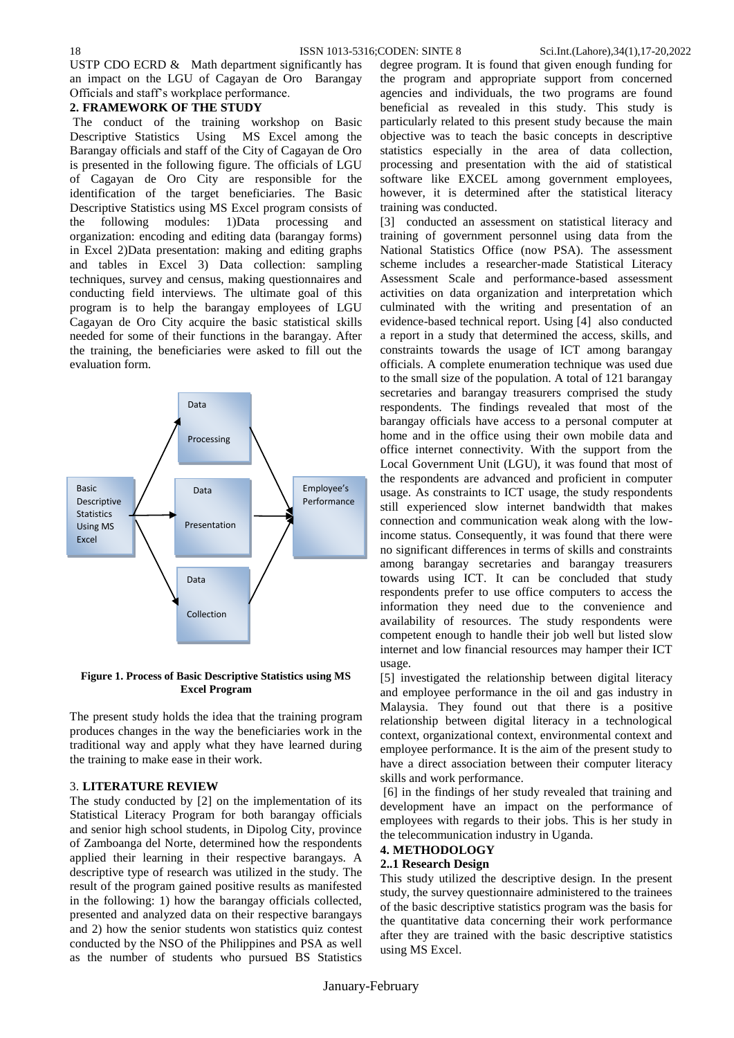USTP CDO ECRD  $&$  Math department significantly has an impact on the LGU of Cagayan de Oro Barangay Officials and staff's workplace performance.

## **2. FRAMEWORK OF THE STUDY**

The conduct of the training workshop on Basic Descriptive Statistics Using MS Excel among the Barangay officials and staff of the City of Cagayan de Oro is presented in the following figure. The officials of LGU of Cagayan de Oro City are responsible for the identification of the target beneficiaries. The Basic Descriptive Statistics using MS Excel program consists of the following modules: 1)Data processing and organization: encoding and editing data (barangay forms) in Excel 2)Data presentation: making and editing graphs and tables in Excel 3) Data collection: sampling techniques, survey and census, making questionnaires and conducting field interviews. The ultimate goal of this program is to help the barangay employees of LGU Cagayan de Oro City acquire the basic statistical skills needed for some of their functions in the barangay. After the training, the beneficiaries were asked to fill out the evaluation form.



## **Figure 1. Process of Basic Descriptive Statistics using MS Excel Program**

The present study holds the idea that the training program produces changes in the way the beneficiaries work in the traditional way and apply what they have learned during the training to make ease in their work.

## 3. **LITERATURE REVIEW**

The study conducted by [2] on the implementation of its Statistical Literacy Program for both barangay officials and senior high school students, in Dipolog City, province of Zamboanga del Norte, determined how the respondents applied their learning in their respective barangays. A descriptive type of research was utilized in the study. The result of the program gained positive results as manifested in the following: 1) how the barangay officials collected, presented and analyzed data on their respective barangays and 2) how the senior students won statistics quiz contest conducted by the NSO of the Philippines and PSA as well as the number of students who pursued BS Statistics

degree program. It is found that given enough funding for the program and appropriate support from concerned agencies and individuals, the two programs are found beneficial as revealed in this study. This study is particularly related to this present study because the main objective was to teach the basic concepts in descriptive statistics especially in the area of data collection, processing and presentation with the aid of statistical software like EXCEL among government employees, however, it is determined after the statistical literacy training was conducted.

[3] conducted an assessment on statistical literacy and training of government personnel using data from the National Statistics Office (now PSA). The assessment scheme includes a researcher-made Statistical Literacy Assessment Scale and performance-based assessment activities on data organization and interpretation which culminated with the writing and presentation of an evidence-based technical report. Using [4] also conducted a report in a study that determined the access, skills, and constraints towards the usage of ICT among barangay officials. A complete enumeration technique was used due to the small size of the population. A total of 121 barangay secretaries and barangay treasurers comprised the study respondents. The findings revealed that most of the barangay officials have access to a personal computer at home and in the office using their own mobile data and office internet connectivity. With the support from the Local Government Unit (LGU), it was found that most of the respondents are advanced and proficient in computer usage. As constraints to ICT usage, the study respondents still experienced slow internet bandwidth that makes connection and communication weak along with the lowincome status. Consequently, it was found that there were no significant differences in terms of skills and constraints among barangay secretaries and barangay treasurers towards using ICT. It can be concluded that study respondents prefer to use office computers to access the information they need due to the convenience and availability of resources. The study respondents were competent enough to handle their job well but listed slow internet and low financial resources may hamper their ICT usage.

[5] investigated the relationship between digital literacy and employee performance in the oil and gas industry in Malaysia. They found out that there is a positive relationship between digital literacy in a technological context, organizational context, environmental context and employee performance. It is the aim of the present study to have a direct association between their computer literacy skills and work performance.

[6] in the findings of her study revealed that training and development have an impact on the performance of employees with regards to their jobs. This is her study in the telecommunication industry in Uganda.

# **4. METHODOLOGY**

#### **2..1 Research Design**

This study utilized the descriptive design. In the present study, the survey questionnaire administered to the trainees of the basic descriptive statistics program was the basis for the quantitative data concerning their work performance after they are trained with the basic descriptive statistics using MS Excel.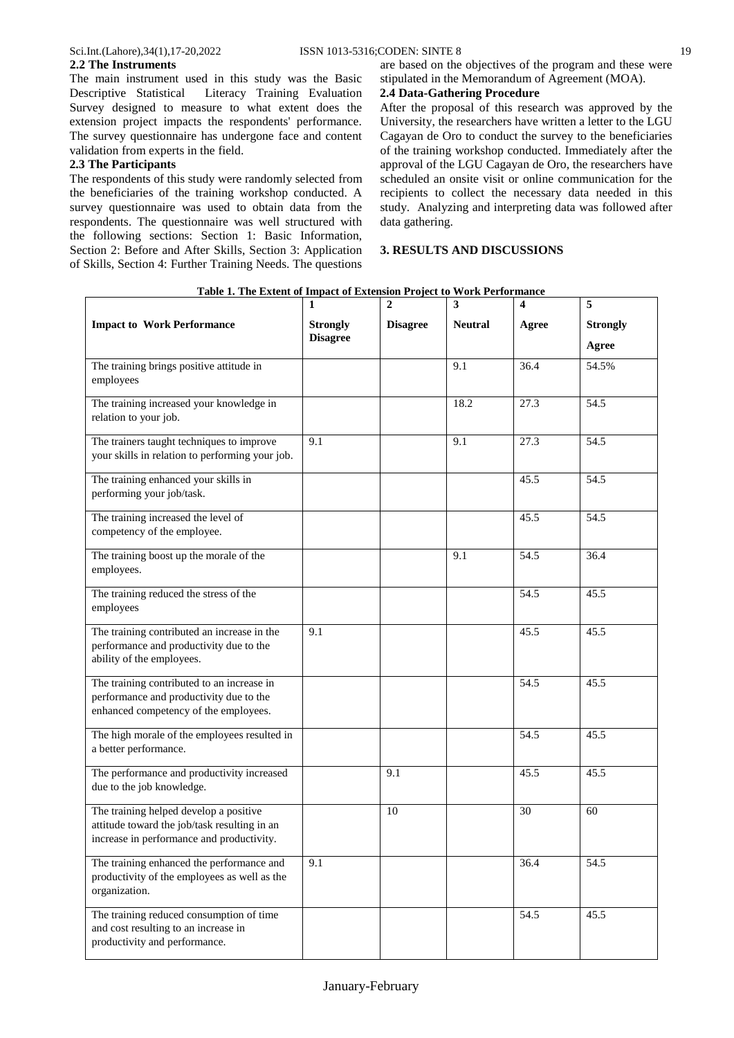#### validation from experts in the field. **2.3 The Participants**

The respondents of this study were randomly selected from the beneficiaries of the training workshop conducted. A survey questionnaire was used to obtain data from the respondents. The questionnaire was well structured with the following sections: Section 1: Basic Information, Section 2: Before and After Skills, Section 3: Application of Skills, Section 4: Further Training Needs. The questions

## **2.4 Data-Gathering Procedure**

After the proposal of this research was approved by the University, the researchers have written a letter to the LGU Cagayan de Oro to conduct the survey to the beneficiaries of the training workshop conducted. Immediately after the approval of the LGU Cagayan de Oro, the researchers have scheduled an onsite visit or online communication for the recipients to collect the necessary data needed in this study. Analyzing and interpreting data was followed after data gathering.

### **3. RESULTS AND DISCUSSIONS**

|                                                                                                                                     | 1                                  | $\boldsymbol{2}$ | 3              | 4     | 5               |
|-------------------------------------------------------------------------------------------------------------------------------------|------------------------------------|------------------|----------------|-------|-----------------|
| <b>Impact to Work Performance</b>                                                                                                   | <b>Strongly</b><br><b>Disagree</b> | <b>Disagree</b>  | <b>Neutral</b> | Agree | <b>Strongly</b> |
|                                                                                                                                     |                                    |                  |                |       | Agree           |
| The training brings positive attitude in<br>employees                                                                               |                                    |                  | 9.1            | 36.4  | 54.5%           |
| The training increased your knowledge in<br>relation to your job.                                                                   |                                    |                  | 18.2           | 27.3  | 54.5            |
| The trainers taught techniques to improve<br>your skills in relation to performing your job.                                        | 9.1                                |                  | 9.1            | 27.3  | 54.5            |
| The training enhanced your skills in<br>performing your job/task.                                                                   |                                    |                  |                | 45.5  | 54.5            |
| The training increased the level of<br>competency of the employee.                                                                  |                                    |                  |                | 45.5  | 54.5            |
| The training boost up the morale of the<br>employees.                                                                               |                                    |                  | 9.1            | 54.5  | 36.4            |
| The training reduced the stress of the<br>employees                                                                                 |                                    |                  |                | 54.5  | 45.5            |
| The training contributed an increase in the<br>performance and productivity due to the<br>ability of the employees.                 | 9.1                                |                  |                | 45.5  | 45.5            |
| The training contributed to an increase in<br>performance and productivity due to the<br>enhanced competency of the employees.      |                                    |                  |                | 54.5  | 45.5            |
| The high morale of the employees resulted in<br>a better performance.                                                               |                                    |                  |                | 54.5  | 45.5            |
| The performance and productivity increased<br>due to the job knowledge.                                                             |                                    | 9.1              |                | 45.5  | 45.5            |
| The training helped develop a positive<br>attitude toward the job/task resulting in an<br>increase in performance and productivity. |                                    | 10               |                | 30    | 60              |
| The training enhanced the performance and<br>productivity of the employees as well as the<br>organization.                          | 9.1                                |                  |                | 36.4  | 54.5            |
| The training reduced consumption of time<br>and cost resulting to an increase in<br>productivity and performance.                   |                                    |                  |                | 54.5  | 45.5            |

**Table 1. The Extent of Impact of Extension Project to Work Performance**